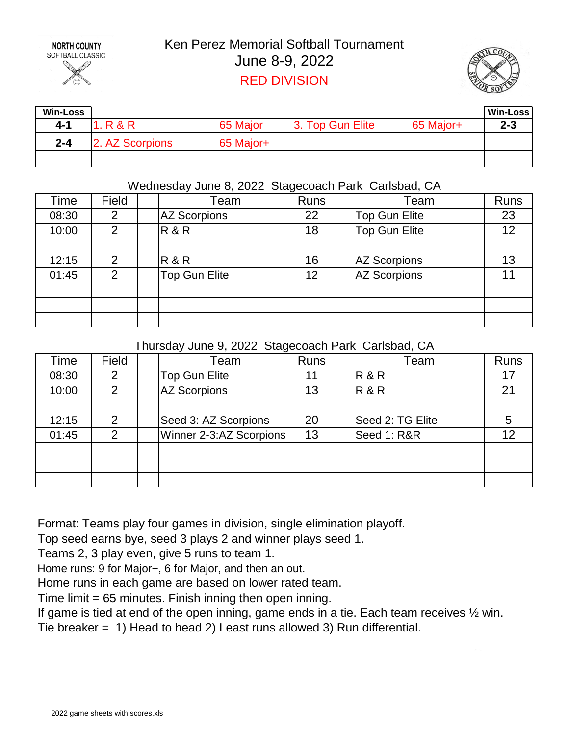

## Ken Perez Memorial Softball Tournament June 8-9, 2022 RED DIVISION



| <b>Win-Loss</b> |                 |           |                  |           | Win-Loss |
|-----------------|-----------------|-----------|------------------|-----------|----------|
| 4-1             | 1. R & R        | 65 Major  | 3. Top Gun Elite | 65 Major+ | $2 - 3$  |
| $2 - 4$         | 2. AZ Scorpions | 65 Major+ |                  |           |          |
|                 |                 |           |                  |           |          |

## Wednesday June 8, 2022 Stagecoach Park Carlsbad, CA

| Time  | Field          | Team                 | <b>Runs</b> | Team                 | Runs |
|-------|----------------|----------------------|-------------|----------------------|------|
| 08:30 | 2              | <b>AZ Scorpions</b>  | 22          | <b>Top Gun Elite</b> | 23   |
| 10:00 | 2              | R&R                  | 18          | <b>Top Gun Elite</b> | 12   |
|       |                |                      |             |                      |      |
| 12:15 | $\overline{2}$ | R&R                  | 16          | <b>AZ Scorpions</b>  | 13   |
| 01:45 | 2              | <b>Top Gun Elite</b> | 12          | <b>AZ Scorpions</b>  |      |
|       |                |                      |             |                      |      |
|       |                |                      |             |                      |      |
|       |                |                      |             |                      |      |

### Thursday June 9, 2022 Stagecoach Park Carlsbad, CA

| Time  | Field          | ັ<br>Team               | <b>Runs</b> | Team             | Runs |
|-------|----------------|-------------------------|-------------|------------------|------|
| 08:30 | 2              | <b>Top Gun Elite</b>    | 11          | $R$ &R           |      |
| 10:00 | 2              | <b>AZ Scorpions</b>     | 13          | <b>R&amp;R</b>   | 2    |
|       |                |                         |             |                  |      |
| 12:15 | 2              | Seed 3: AZ Scorpions    | 20          | Seed 2: TG Elite |      |
| 01:45 | $\overline{2}$ | Winner 2-3:AZ Scorpions | 13          | Seed 1: R&R      |      |
|       |                |                         |             |                  |      |
|       |                |                         |             |                  |      |
|       |                |                         |             |                  |      |

Format: Teams play four games in division, single elimination playoff.

Top seed earns bye, seed 3 plays 2 and winner plays seed 1.

Teams 2, 3 play even, give 5 runs to team 1.

Home runs: 9 for Major+, 6 for Major, and then an out.

Home runs in each game are based on lower rated team.

Time limit = 65 minutes. Finish inning then open inning.

If game is tied at end of the open inning, game ends in a tie. Each team receives ½ win. Tie breaker = 1) Head to head 2) Least runs allowed 3) Run differential.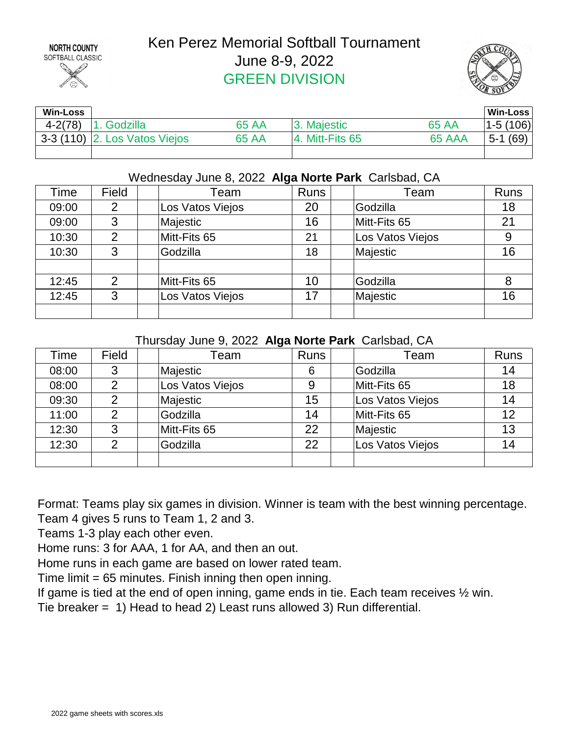

# Ken Perez Memorial Softball Tournament June 8-9, 2022 GREEN DIVISION



| <b>Win-Loss</b> |                                |       |                    |              | Win-Loss        |
|-----------------|--------------------------------|-------|--------------------|--------------|-----------------|
| $4 - 2(78)$     | Godzilla                       | 65 AA | Majestic           | <b>65 AA</b> | $ 1-5(106) $    |
|                 | $3-3(110)$ 2. Los Vatos Viejos | 65 AA | $ 4.$ Mitt-Fits 65 | 65 AAA       | (69)<br>$5 - 1$ |
|                 |                                |       |                    |              |                 |

### Wednesday June 8, 2022 **Alga Norte Park** Carlsbad, CA

| Time  | Field          | Team             | <b>Runs</b> | Team             | <b>Runs</b> |
|-------|----------------|------------------|-------------|------------------|-------------|
| 09:00 | 2              | Los Vatos Viejos | 20          | Godzilla         | 18          |
| 09:00 | 3              | Majestic         | 16          | Mitt-Fits 65     | 21          |
| 10:30 | 2              | Mitt-Fits 65     | 21          | Los Vatos Viejos | 9           |
| 10:30 | 3              | Godzilla         | 18          | Majestic         | 16          |
|       |                |                  |             |                  |             |
| 12:45 | $\overline{2}$ | Mitt-Fits 65     | 10          | Godzilla         | 8           |
| 12:45 | 3              | Los Vatos Viejos | 17          | Majestic         | 16          |
|       |                |                  |             |                  |             |

#### Thursday June 9, 2022 **Alga Norte Park** Carlsbad, CA

| Time  | Field | Team             | <b>Runs</b> | Team             | Runs |
|-------|-------|------------------|-------------|------------------|------|
| 08:00 | 3     | Majestic         | 6           | Godzilla         | 14   |
| 08:00 | 2     | Los Vatos Viejos | 9           | Mitt-Fits 65     | 18   |
| 09:30 | 2     | Majestic         | 15          | Los Vatos Viejos | 14   |
| 11:00 | 2     | Godzilla         | 14          | Mitt-Fits 65     | 12   |
| 12:30 | 3     | Mitt-Fits 65     | 22          | Majestic         | 13   |
| 12:30 | 2     | Godzilla         | 22          | Los Vatos Viejos | 14   |
|       |       |                  |             |                  |      |

Format: Teams play six games in division. Winner is team with the best winning percentage. Team 4 gives 5 runs to Team 1, 2 and 3.

Teams 1-3 play each other even.

Home runs: 3 for AAA, 1 for AA, and then an out.

Home runs in each game are based on lower rated team.

Time limit = 65 minutes. Finish inning then open inning.

If game is tied at the end of open inning, game ends in tie. Each team receives ½ win.

Tie breaker = 1) Head to head 2) Least runs allowed 3) Run differential.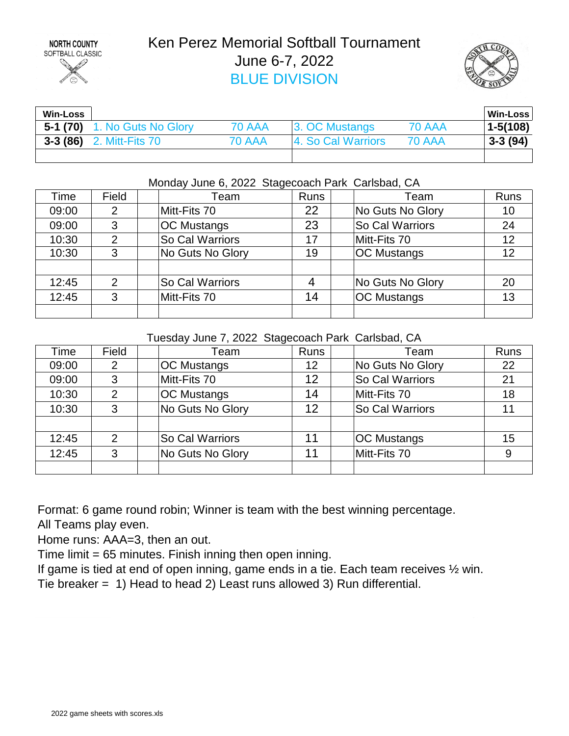

# Ken Perez Memorial Softball Tournament June 6-7, 2022 BLUE DIVISION



| <b>Win-Loss</b> |                                     |               |                    |               | Win-Loss     |
|-----------------|-------------------------------------|---------------|--------------------|---------------|--------------|
|                 | <b>5-1 (70)</b> 1. No Guts No Glory | <b>70 AAA</b> | 3. OC Mustangs     | <b>70 AAA</b> | $1 - 5(108)$ |
|                 | <b>3-3 (86)</b> 2. Mitt-Fits 70     | 70 AAA        | 4. So Cal Warriors | <b>70 AAA</b> | $3-3(94)$    |
|                 |                                     |               |                    |               |              |

#### Monday June 6, 2022 Stagecoach Park Carlsbad, CA

| Time  | Field | Team               | <b>Runs</b> | Team               | Runs |
|-------|-------|--------------------|-------------|--------------------|------|
| 09:00 | 2     | Mitt-Fits 70       | 22          | No Guts No Glory   | 10   |
| 09:00 | 3     | <b>OC Mustangs</b> | 23          | So Cal Warriors    | 24   |
| 10:30 | 2     | So Cal Warriors    | 17          | Mitt-Fits 70       | 12   |
| 10:30 | 3     | No Guts No Glory   | 19          | <b>OC Mustangs</b> | 12   |
|       |       |                    |             |                    |      |
| 12:45 | 2     | So Cal Warriors    | 4           | No Guts No Glory   | 20   |
| 12:45 | 3     | Mitt-Fits 70       | 14          | <b>OC Mustangs</b> | 13   |
|       |       |                    |             |                    |      |

Tuesday June 7, 2022 Stagecoach Park Carlsbad, CA

| Time  | Field         | Team               | <b>Runs</b> | Team               | <b>Runs</b> |
|-------|---------------|--------------------|-------------|--------------------|-------------|
| 09:00 | 2             | <b>OC Mustangs</b> | 12          | No Guts No Glory   | 22          |
| 09:00 | 3             | Mitt-Fits 70       | 12          | So Cal Warriors    | 21          |
| 10:30 | 2             | <b>OC Mustangs</b> | 14          | Mitt-Fits 70       | 18          |
| 10:30 | 3             | No Guts No Glory   | 12          | So Cal Warriors    |             |
|       |               |                    |             |                    |             |
| 12:45 | $\mathcal{P}$ | So Cal Warriors    | 11          | <b>OC Mustangs</b> | 15          |
| 12:45 | 3             | No Guts No Glory   | 11          | Mitt-Fits 70       |             |
|       |               |                    |             |                    |             |

Format: 6 game round robin; Winner is team with the best winning percentage.

All Teams play even.

Home runs: AAA=3, then an out.

Time limit = 65 minutes. Finish inning then open inning.

If game is tied at end of open inning, game ends in a tie. Each team receives ½ win. Tie breaker = 1) Head to head 2) Least runs allowed 3) Run differential.